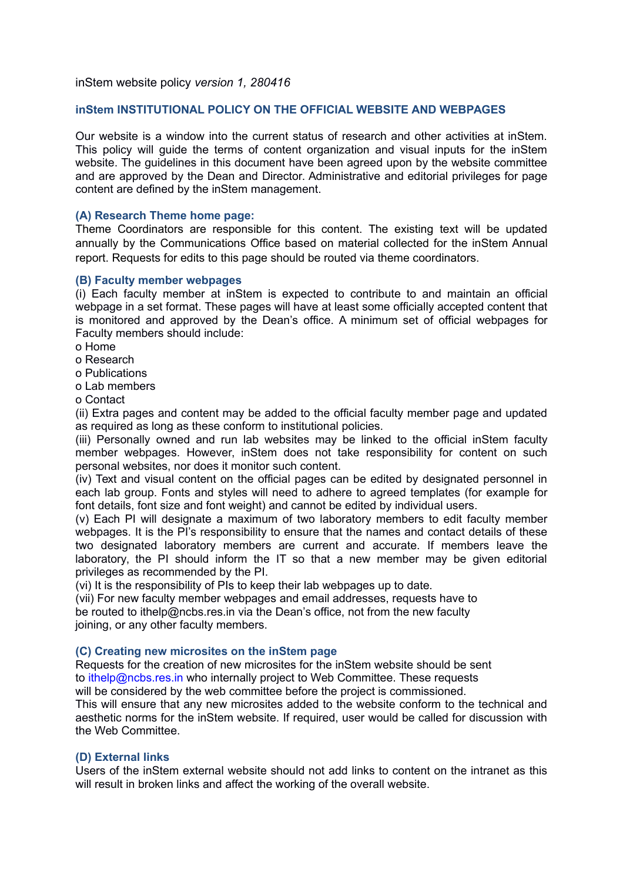inStem website policy *version 1, 280416*

# **inStem INSTITUTIONAL POLICY ON THE OFFICIAL WEBSITE AND WEBPAGES**

Our website is a window into the current status of research and other activities at inStem. This policy will guide the terms of content organization and visual inputs for the inStem website. The guidelines in this document have been agreed upon by the website committee and are approved by the Dean and Director. Administrative and editorial privileges for page content are defined by the inStem management.

#### **(A) Research Theme home page:**

Theme Coordinators are responsible for this content. The existing text will be updated annually by the Communications Office based on material collected for the inStem Annual report. Requests for edits to this page should be routed via theme coordinators.

#### **(B) Faculty member webpages**

(i) Each faculty member at inStem is expected to contribute to and maintain an official webpage in a set format. These pages will have at least some officially accepted content that is monitored and approved by the Dean's office. A minimum set of official webpages for Faculty members should include:

o Home

o Research

o Publications

o Lab members

o Contact

(ii) Extra pages and content may be added to the official faculty member page and updated as required as long as these conform to institutional policies.

(iii) Personally owned and run lab websites may be linked to the official inStem faculty member webpages. However, inStem does not take responsibility for content on such personal websites, nor does it monitor such content.

(iv) Text and visual content on the official pages can be edited by designated personnel in each lab group. Fonts and styles will need to adhere to agreed templates (for example for font details, font size and font weight) and cannot be edited by individual users.

(v) Each PI will designate a maximum of two laboratory members to edit faculty member webpages. It is the PI's responsibility to ensure that the names and contact details of these two designated laboratory members are current and accurate. If members leave the laboratory, the PI should inform the IT so that a new member may be given editorial privileges as recommended by the PI.

(vi) It is the responsibility of PIs to keep their lab webpages up to date.

(vii) For new faculty member webpages and email addresses, requests have to be routed to ithelp@ncbs.res.in via the Dean's office, not from the new faculty joining, or any other faculty members.

#### **(C) Creating new microsites on the inStem page**

Requests for the creation of new microsites for the inStem website should be sent to *ithelp@ncbs.res.in* who internally project to Web Committee. These requests will be considered by the web committee before the project is commissioned.

This will ensure that any new microsites added to the website conform to the technical and aesthetic norms for the inStem website. If required, user would be called for discussion with

# **(D) External links**

the Web Committee.

Users of the inStem external website should not add links to content on the intranet as this will result in broken links and affect the working of the overall website.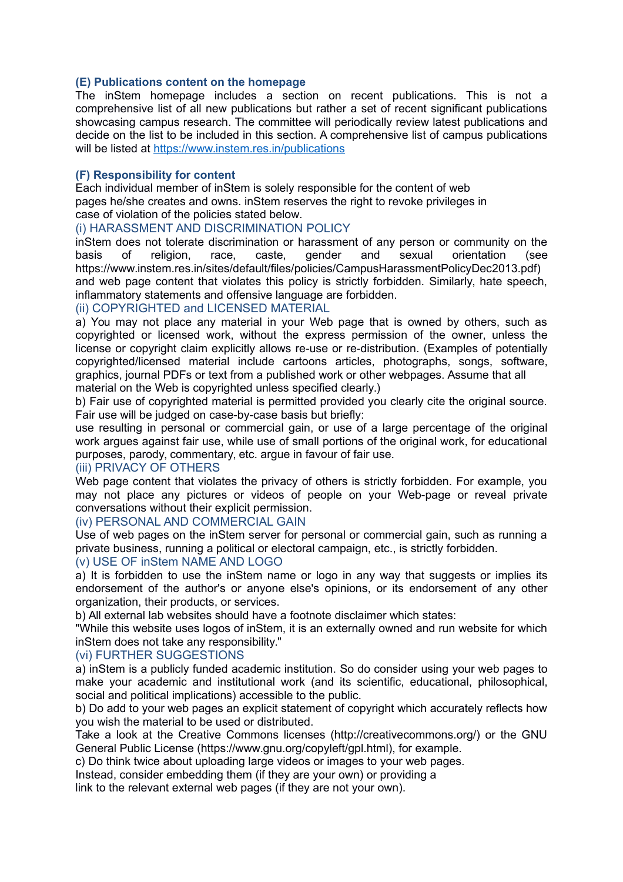### **(E) Publications content on the homepage**

The inStem homepage includes a section on recent publications. This is not a comprehensive list of all new publications but rather a set of recent significant publications showcasing campus research. The committee will periodically review latest publications and decide on the list to be included in this section. A comprehensive list of campus publications will be listed at<https://www.instem.res.in/publications>

# **(F) Responsibility for content**

Each individual member of inStem is solely responsible for the content of web pages he/she creates and owns. inStem reserves the right to revoke privileges in case of violation of the policies stated below.

# (i) HARASSMENT AND DISCRIMINATION POLICY

inStem does not tolerate discrimination or harassment of any person or community on the basis of religion, race, caste, gender and sexual orientation (see https://www.instem.res.in/sites/default/files/policies/CampusHarassmentPolicyDec2013.pdf) and web page content that violates this policy is strictly forbidden. Similarly, hate speech, inflammatory statements and offensive language are forbidden.

# (ii) COPYRIGHTED and LICENSED MATERIAL

a) You may not place any material in your Web page that is owned by others, such as copyrighted or licensed work, without the express permission of the owner, unless the license or copyright claim explicitly allows re-use or re-distribution. (Examples of potentially copyrighted/licensed material include cartoons articles, photographs, songs, software, graphics, journal PDFs or text from a published work or other webpages. Assume that all material on the Web is copyrighted unless specified clearly.)

b) Fair use of copyrighted material is permitted provided you clearly cite the original source. Fair use will be judged on case-by-case basis but briefly:

use resulting in personal or commercial gain, or use of a large percentage of the original work argues against fair use, while use of small portions of the original work, for educational purposes, parody, commentary, etc. argue in favour of fair use.

### (iii) PRIVACY OF OTHERS

Web page content that violates the privacy of others is strictly forbidden. For example, you may not place any pictures or videos of people on your Web-page or reveal private conversations without their explicit permission.

#### (iv) PERSONAL AND COMMERCIAL GAIN

Use of web pages on the inStem server for personal or commercial gain, such as running a private business, running a political or electoral campaign, etc., is strictly forbidden.

#### (v) USE OF inStem NAME AND LOGO

a) It is forbidden to use the inStem name or logo in any way that suggests or implies its endorsement of the author's or anyone else's opinions, or its endorsement of any other organization, their products, or services.

b) All external lab websites should have a footnote disclaimer which states:

"While this website uses logos of inStem, it is an externally owned and run website for which inStem does not take any responsibility."

# (vi) FURTHER SUGGESTIONS

a) inStem is a publicly funded academic institution. So do consider using your web pages to make your academic and institutional work (and its scientific, educational, philosophical, social and political implications) accessible to the public.

b) Do add to your web pages an explicit statement of copyright which accurately reflects how you wish the material to be used or distributed.

Take a look at the Creative Commons licenses (http://creativecommons.org/) or the GNU General Public License (https://www.gnu.org/copyleft/gpl.html), for example.

c) Do think twice about uploading large videos or images to your web pages.

Instead, consider embedding them (if they are your own) or providing a

link to the relevant external web pages (if they are not your own).